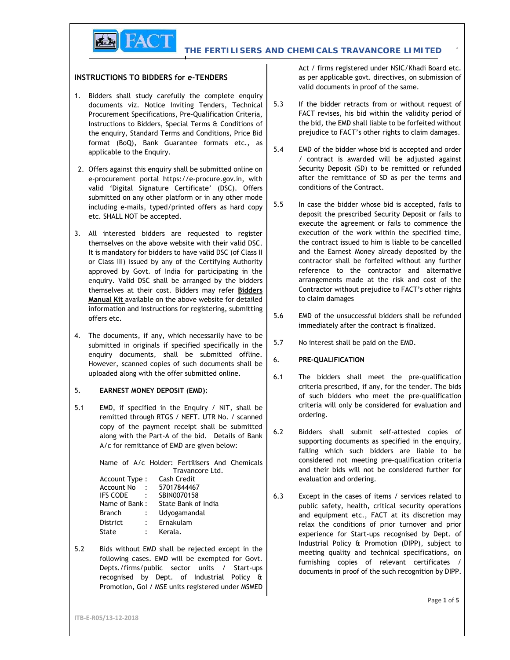**THE FERTILISERS AND CHEMICALS TRAVANCORE LIMITED**  $P = \begin{bmatrix} 1 & 1 \\ 1 & 1 \end{bmatrix}$ 

## **INSTRUCTIONS TO BIDDERS for e-TENDERS**

**FACT** 

- 1. Bidders shall study carefully the complete enquiry documents viz. Notice Inviting Tenders, Technical 5.3 Procurement Specifications, Pre-Qualification Criteria, Instructions to Bidders, Special Terms & Conditions of the enquiry, Standard Terms and Conditions, Price Bid format (BoQ), Bank Guarantee formats etc., as  $\begin{bmatrix} 5.4 \end{bmatrix}$ applicable to the Enquiry.
- 2. Offers against this enquiry shall be submitted online on e-procurement portal https://e-procure.gov.in, with valid 'Digital Signature Certificate' (DSC). Offers submitted on any other platform or in any other mode<br>including a mails, typed (printed offers as bard copy)  $5.5$ including e-mails, typed/printed offers as hard copy etc. SHALL NOT be accepted.
- 3. All interested bidders are requested to register themselves on the above website with their valid DSC. It is mandatory for bidders to have valid DSC (of Class II or Class III) issued by any of the Certifying Authority approved by Govt. of India for participating in the enquiry. Valid DSC shall be arranged by the bidders themselves at their cost. Bidders may refer **Bidders Manual Kit** available on the above website for detailed information and instructions for registering, submitting <br>offers etc = 5.6 offers etc.
- 4. The documents, if any, which necessarily have to be submitted in originals if specified specifically in the  $5.7$ submitted in originals if specified specifically in the enquiry documents, shall be submitted offline.<br>Unusuary account capital of such documents shall be 6. However, scanned copies of such documents shall be uploaded along with the offer submitted online.

#### 5**. EARNEST MONEY DEPOSIT (EMD):**

5.1 EMD, if specified in the Enquiry / NIT, shall be remitted through RTGS / NEFT. UTR No. / scanned copy of the payment receipt shall be submitted  $\begin{bmatrix} 6.2 \end{bmatrix}$ along with the Part-A of the bid. Details of Bank A/c for remittance of EMD are given below:

> Name of A/c Holder: Fertilisers And Chemicals Travancore Ltd. Account Type : Cash Credit Account No : 57017844467

| IFS CODE<br>$\sim$ 1. |               | SBIN0070158         |
|-----------------------|---------------|---------------------|
| Name of Bank :        |               | State Bank of India |
| <b>Branch</b>         | $\mathcal{L}$ | Udyogamandal        |
| <b>District</b>       | $\mathcal{L}$ | Ernakulam           |
| State                 |               | Kerala.             |

5.2 Bids without EMD shall be rejected except in the following cases. EMD will be exempted for Govt. Depts./firms/public sector units / Start-ups recognised by Dept. of Industrial Policy & Promotion, GoI / MSE units registered under MSMED Act / firms registered under NSIC/Khadi Board etc. as per applicable govt. directives, on submission of valid documents in proof of the same.

- If the bidder retracts from or without request of FACT revises, his bid within the validity period of the bid, the EMD shall liable to be forfeited without prejudice to FACT's other rights to claim damages.
- EMD of the bidder whose bid is accepted and order / contract is awarded will be adjusted against Security Deposit (SD) to be remitted or refunded after the remittance of SD as per the terms and conditions of the Contract.
- In case the bidder whose bid is accepted, fails to deposit the prescribed Security Deposit or fails to execute the agreement or fails to commence the execution of the work within the specified time, the contract issued to him is liable to be cancelled and the Earnest Money already deposited by the contractor shall be forfeited without any further reference to the contractor and alternative arrangements made at the risk and cost of the Contractor without prejudice to FACT's other rights to claim damages
- EMD of the unsuccessful bidders shall be refunded immediately after the contract is finalized.
- No interest shall be paid on the EMD.

## 6. **PRE-QUALIFICATION**

- 6.1 The bidders shall meet the pre-qualification criteria prescribed, if any, for the tender. The bids of such bidders who meet the pre-qualification criteria will only be considered for evaluation and ordering.
- Bidders shall submit self-attested copies of supporting documents as specified in the enquiry, failing which such bidders are liable to be considered not meeting pre-qualification criteria and their bids will not be considered further for evaluation and ordering.
- 6.3 Except in the cases of items / services related to public safety, health, critical security operations and equipment etc., FACT at its discretion may relax the conditions of prior turnover and prior experience for Start-ups recognised by Dept. of Industrial Policy & Promotion (DIPP), subject to meeting quality and technical specifications, on furnishing copies of relevant certificates / documents in proof of the such recognition by DIPP.

**ITB-E-R05/13-12-2018**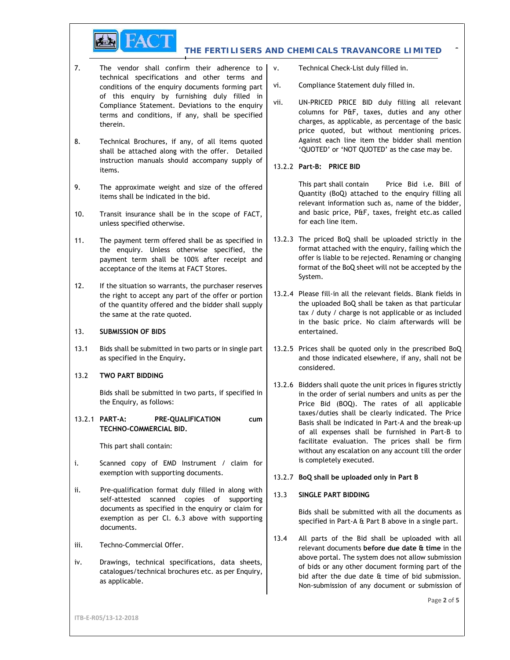

#### **THE FERTILISERS AND CHEMICALS TRAVANCORE LIMITED**  $P = \begin{bmatrix} 1 & 1 \\ 1 & 2 \end{bmatrix}$

- 7. The vendor shall confirm their adherence to  $|v|$ . technical specifications and other terms and conditions of the enquiry documents forming part  $\vert$  vi. of this enquiry by furnishing duly filled in  $\begin{bmatrix} \text{Complines of } \\ \text{Complines of } \\ \text{Complines of } \\ \end{bmatrix}$ Compliance Statement. Deviations to the enquiry terms and conditions, if any, shall be specified therein.
- 8. Technical Brochures, if any, of all items quoted shall be attached along with the offer. Detailed instruction manuals should accompany supply of items.
- 9. The approximate weight and size of the offered items shall be indicated in the bid.
- 10. Transit insurance shall be in the scope of FACT, unless specified otherwise.
- 11. The payment term offered shall be as specified in the enquiry. Unless otherwise specified, the payment term shall be 100% after receipt and acceptance of the items at FACT Stores.
- 12. If the situation so warrants, the purchaser reserves the right to accept any part of the offer or portion of the quantity offered and the bidder shall supply the same at the rate quoted.
- 13. **SUBMISSION OF BIDS**
- 13.1 Bids shall be submitted in two parts or in single part as specified in the Enquiry**.**
- 13.2 **TWO PART BIDDING**

Bids shall be submitted in two parts, if specified in the Enquiry, as follows:

13.2.1 **PART-A: PRE-QUALIFICATION cum TECHNO-COMMERCIAL BID.**

This part shall contain:

- i. Scanned copy of EMD Instrument / claim for exemption with supporting documents.
- ii. Pre-qualification format duly filled in along with  $\begin{bmatrix} 13.3 \end{bmatrix}$ self-attested scanned copies of supporting documents as specified in the enquiry or claim for exemption as per Cl. 6.3 above with supporting documents.
- iii. Techno-Commercial Offer.
- iv. Drawings, technical specifications, data sheets, catalogues/technical brochures etc. as per Enquiry, as applicable.
- Technical Check-List duly filled in.
- Compliance Statement duly filled in.
- UN-PRICED PRICE BID duly filling all relevant columns for P&F, taxes, duties and any other charges, as applicable, as percentage of the basic price quoted, but without mentioning prices. Against each line item the bidder shall mention 'QUOTED' or 'NOT QUOTED' as the case may be.
- 13.2.2 **Part-B: PRICE BID**

This part shall contain Price Bid i.e. Bill of Quantity (BoQ) attached to the enquiry filling all relevant information such as, name of the bidder, and basic price, P&F, taxes, freight etc.as called for each line item.

- 13.2.3 The priced BoQ shall be uploaded strictly in the format attached with the enquiry, failing which the offer is liable to be rejected. Renaming or changing format of the BoQ sheet will not be accepted by the System.
- 13.2.4 Please fill-in all the relevant fields. Blank fields in the uploaded BoQ shall be taken as that particular tax / duty / charge is not applicable or as included in the basic price. No claim afterwards will be entertained.
- 13.2.5 Prices shall be quoted only in the prescribed BoQ and those indicated elsewhere, if any, shall not be considered.
- 13.2.6 Bidders shall quote the unit prices in figures strictly in the order of serial numbers and units as per the Price Bid (BOQ). The rates of all applicable taxes/duties shall be clearly indicated. The Price Basis shall be indicated in Part-A and the break-up of all expenses shall be furnished in Part-B to facilitate evaluation. The prices shall be firm without any escalation on any account till the order is completely executed.
- 13.2.7 **BoQ shall be uploaded only in Part B**

# 13.3 **SINGLE PART BIDDING**

Bids shall be submitted with all the documents as specified in Part-A & Part B above in a single part.

13.4 All parts of the Bid shall be uploaded with all relevant documents **before due date & time** in the above portal. The system does not allow submission of bids or any other document forming part of the bid after the due date & time of bid submission. Non-submission of any document or submission of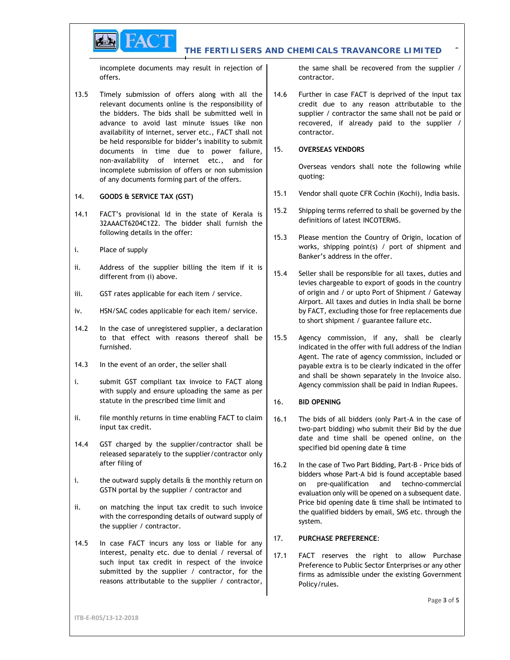

#### **THE FERTILISERS AND CHEMICALS TRAVANCORE LIMITED**  $P = \begin{bmatrix} 1 & 1 \\ 1 & 1 \end{bmatrix}$

incomplete documents may result in rejection of offers.

13.5 Timely submission of offers along with all the 14.6 relevant documents online is the responsibility of the bidders. The bids shall be submitted well in advance to avoid last minute issues like non availability of internet, server etc., FACT shall not be held responsible for bidder's inability to submit<br>documents in time due to nower failure 15. documents in time due to power failure, non-availability of internet etc., and for incomplete submission of offers or non submission of any documents forming part of the offers.

## 14. **GOODS & SERVICE TAX (GST)**

- 14.1 FACT's provisional Id in the state of Kerala is  $\begin{vmatrix} 15.2 \end{vmatrix}$ 32AAACT6204C1Z2. The bidder shall furnish the following details in the offer:
- i. Place of supply
- ii. Address of the supplier billing the item if it is  $\begin{bmatrix} 15.4 \end{bmatrix}$ different from (i) above.
- iii. GST rates applicable for each item / service.
- iv. HSN/SAC codes applicable for each item/ service.
- 14.2 In the case of unregistered supplier, a declaration to that effect with reasons thereof shall be  $\vert$  15.5 furnished.
- 14.3 In the event of an order, the seller shall
- i. submit GST compliant tax invoice to FACT along with supply and ensure uploading the same as per statute in the prescribed time limit and
- ii. file monthly returns in time enabling FACT to claim  $\begin{bmatrix} 16.1 \end{bmatrix}$ input tax credit.
- 14.4 GST charged by the supplier/contractor shall be released separately to the supplier/contractor only after filing of
- i. the outward supply details & the monthly return on GSTN portal by the supplier / contractor and
- ii. on matching the input tax credit to such invoice with the corresponding details of outward supply of the supplier / contractor.
- 14.5 In case FACT incurs any loss or liable for any  $\vert$  17. interest, penalty etc. due to denial / reversal of  $\begin{bmatrix} 17.1 \end{bmatrix}$ such input tax credit in respect of the invoice submitted by the supplier / contractor, for the reasons attributable to the supplier / contractor,

the same shall be recovered from the supplier / contractor.

Further in case FACT is deprived of the input tax credit due to any reason attributable to the supplier / contractor the same shall not be paid or recovered, if already paid to the supplier / contractor.

## 15. **OVERSEAS VENDORS**

Overseas vendors shall note the following while quoting:

- 15.1 Vendor shall quote CFR Cochin (Kochi), India basis.
- Shipping terms referred to shall be governed by the definitions of latest INCOTERMS.
- 15.3 Please mention the Country of Origin, location of works, shipping point(s) / port of shipment and Banker's address in the offer.
- Seller shall be responsible for all taxes, duties and levies chargeable to export of goods in the country of origin and / or upto Port of Shipment / Gateway Airport. All taxes and duties in India shall be borne by FACT, excluding those for free replacements due to short shipment / guarantee failure etc.
- Agency commission, if any, shall be clearly indicated in the offer with full address of the Indian Agent. The rate of agency commission, included or payable extra is to be clearly indicated in the offer and shall be shown separately in the Invoice also. Agency commission shall be paid in Indian Rupees.

# 16. **BID OPENING**

- The bids of all bidders (only Part-A in the case of two-part bidding) who submit their Bid by the due date and time shall be opened online, on the specified bid opening date & time
- 16.2 In the case of Two Part Bidding, Part-B Price bids of bidders whose Part-A bid is found acceptable based on pre-qualification and techno-commercial evaluation only will be opened on a subsequent date. Price bid opening date & time shall be intimated to the qualified bidders by email, SMS etc. through the system.

## 17. **PURCHASE PREFERENCE**:

FACT reserves the right to allow Purchase Preference to Public Sector Enterprises or any other firms as admissible under the existing Government Policy/rules.

**ITB-E-R05/13-12-2018**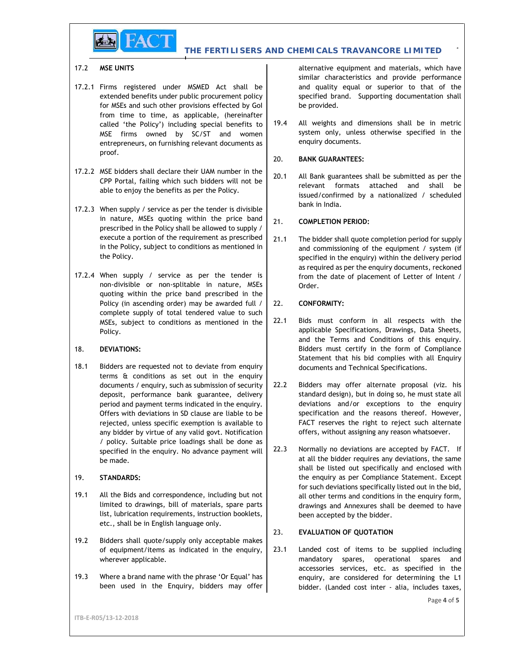

#### 17.2 **MSE UNITS**

- 17.2.1 Firms registered under MSMED Act shall be extended benefits under public procurement policy for MSEs and such other provisions effected by GoI from time to time, as applicable, (hereinafter called 'the Policy') including special benefits to  $\begin{array}{c|c} 19.4 \end{array}$ called 'the Policy') including special benefits to MSE firms owned by SC/ST and women entrepreneurs, on furnishing relevant documents as proof.
- 17.2.2 MSE bidders shall declare their UAM number in the 20.1 CPP Portal, failing which such bidders will not be able to enjoy the benefits as per the Policy.
- 17.2.3 When supply / service as per the tender is divisible in nature, MSEs quoting within the price band  $\begin{bmatrix} 21 \end{bmatrix}$ prescribed in the Policy shall be allowed to supply / execute a portion of the requirement as prescribed  $\begin{bmatrix} 21.1 \end{bmatrix}$ in the Policy, subject to conditions as mentioned in the Policy.
- 17.2.4 When supply / service as per the tender is non-divisible or non-splitable in nature, MSEs quoting within the price band prescribed in the Policy (in ascending order) may be awarded full  $/$  22. complete supply of total tendered value to such  $\left| \right|$  22.1 MSEs, subject to conditions as mentioned in the Policy.

#### 18. **DEVIATIONS:**

18.1 Bidders are requested not to deviate from enquiry terms & conditions as set out in the enquiry documents / enquiry, such as submission of security  $\begin{bmatrix} 22.2 \end{bmatrix}$ deposit, performance bank guarantee, delivery period and payment terms indicated in the enquiry. Offers with deviations in SD clause are liable to be rejected, unless specific exemption is available to any bidder by virtue of any valid govt. Notification *l* policy. Suitable price loadings shall be done as  $\vert$  22.3 specified in the enquiry. No advance payment will be made.

## 19. **STANDARDS:**

- 19.1 All the Bids and correspondence, including but not limited to drawings, bill of materials, spare parts list, lubrication requirements, instruction booklets, etc., shall be in English language only.
- 19.2 Bidders shall quote/supply only acceptable makes of equipment/items as indicated in the enquiry,  $\vert$  23.1 wherever applicable.
- 19.3 Where a brand name with the phrase 'Or Equal' has been used in the Enquiry, bidders may offer

alternative equipment and materials, which have similar characteristics and provide performance and quality equal or superior to that of the specified brand. Supporting documentation shall be provided.

All weights and dimensions shall be in metric system only, unless otherwise specified in the enquiry documents.

## 20. **BANK GUARANTEES:**

All Bank guarantees shall be submitted as per the relevant formats attached and shall be issued/confirmed by a nationalized / scheduled bank in India.

## 21. **COMPLETION PERIOD:**

The bidder shall quote completion period for supply and commissioning of the equipment / system (if specified in the enquiry) within the delivery period as required as per the enquiry documents, reckoned from the date of placement of Letter of Intent / Order.

## 22. **CONFORMITY:**

- Bids must conform in all respects with the applicable Specifications, Drawings, Data Sheets, and the Terms and Conditions of this enquiry. Bidders must certify in the form of Compliance Statement that his bid complies with all Enquiry documents and Technical Specifications.
- Bidders may offer alternate proposal (viz. his standard design), but in doing so, he must state all deviations and/or exceptions to the enquiry specification and the reasons thereof. However, FACT reserves the right to reject such alternate offers, without assigning any reason whatsoever.
- Normally no deviations are accepted by FACT. If at all the bidder requires any deviations, the same shall be listed out specifically and enclosed with the enquiry as per Compliance Statement. Except for such deviations specifically listed out in the bid, all other terms and conditions in the enquiry form, drawings and Annexures shall be deemed to have been accepted by the bidder.

## 23. **EVALUATION OF QUOTATION**

Landed cost of items to be supplied including mandatory spares, operational spares and accessories services, etc. as specified in the enquiry, are considered for determining the L1 bidder. (Landed cost inter - alia, includes taxes,